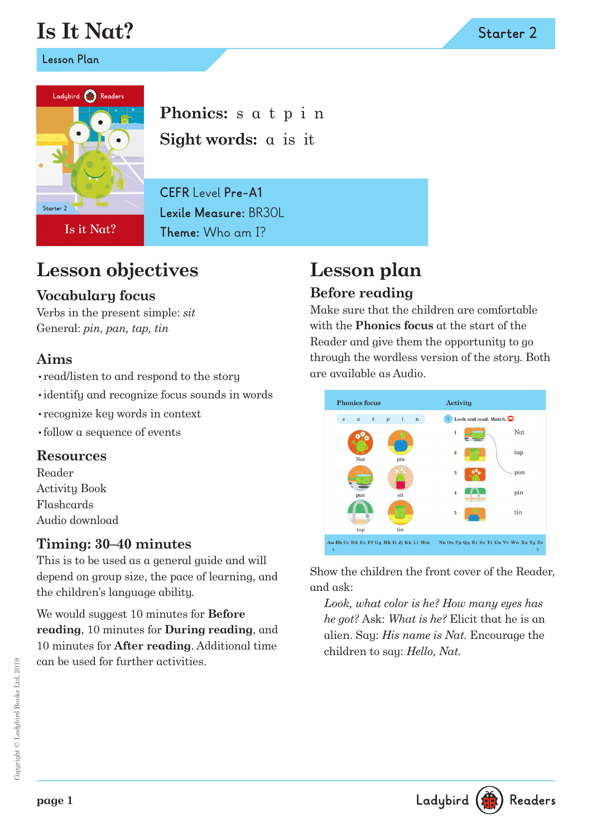# **Is It Nat?**

**Lesson Plan**



Is it Nat?

**Phonics:** s a t p i n **Sight words:** a is it

**CEFR** Level **Pre-A1 Lexile Measure:** BR30L **Theme:** Who am I?

## **Lesson objectives**

#### **Vocabulary focus**

Verbs in the present simple: *sit* General: *pin, pan, tap, tin*

#### **Aims**

- •read/listen to and respond to the story
- •identify and recognize focus sounds in words
- •recognize key words in context
- •follow a sequence of events

#### **Resources**

Reader Activity Book Flashcards Audio download

#### **Timing: 30–40 minutes**

This is to be used as a general guide and will depend on group size, the pace of learning, and the children's language ability.

We would suggest 10 minutes for **Before reading**, 10 minutes for **During reading**, and 10 minutes for **After reading**. Additional time can be used for further activities.

# **Lesson plan**

#### **Before reading**

Make sure that the children are comfortable with the **Phonics focus** at the start of the Reader and give them the opportunity to go through the wordless version of the story. Both are available as Audio.



Show the children the front cover of the Reader, and ask:

*Look, what color is he? How many eyes has he got?* Ask: *What is he?* Elicit that he is an alien. Say: *His name is Nat.* Encourage the children to say: *Hello, Nat.*